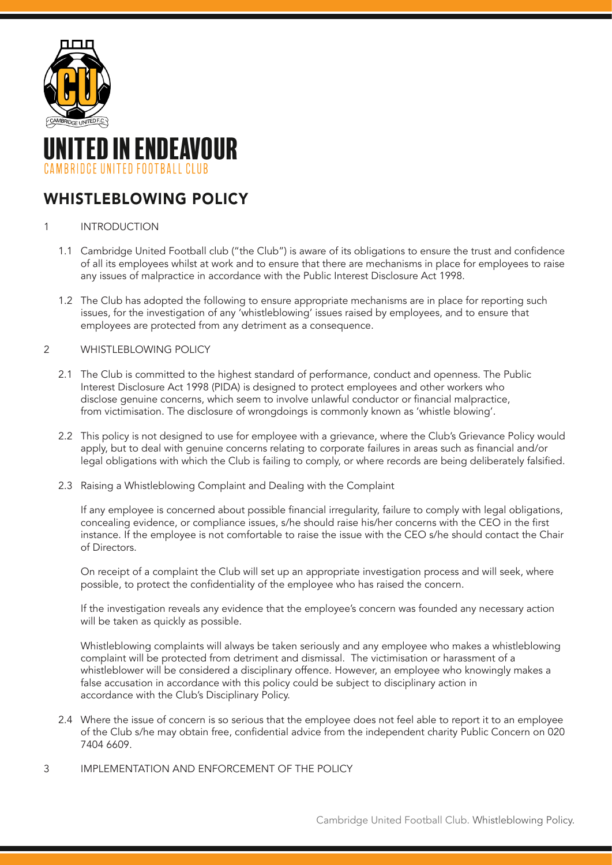

## **TED IN ENDEAVOUR** ARRIDGE UNITED FOOTBALL CLUB

## WHISTLEBLOWING POLICY

## 1 INTRODUCTION

- 1.1 Cambridge United Football club ("the Club") is aware of its obligations to ensure the trust and confidence of all its employees whilst at work and to ensure that there are mechanisms in place for employees to raise any issues of malpractice in accordance with the Public Interest Disclosure Act 1998.
- 1.2 The Club has adopted the following to ensure appropriate mechanisms are in place for reporting such issues, for the investigation of any 'whistleblowing' issues raised by employees, and to ensure that employees are protected from any detriment as a consequence.

## 2 WHISTLEBLOWING POLICY

- 2.1 The Club is committed to the highest standard of performance, conduct and openness. The Public Interest Disclosure Act 1998 (PIDA) is designed to protect employees and other workers who disclose genuine concerns, which seem to involve unlawful conductor or financial malpractice, from victimisation. The disclosure of wrongdoings is commonly known as 'whistle blowing'.
- 2.2 This policy is not designed to use for employee with a grievance, where the Club's Grievance Policy would apply, but to deal with genuine concerns relating to corporate failures in areas such as financial and/or legal obligations with which the Club is failing to comply, or where records are being deliberately falsified.
- 2.3 Raising a Whistleblowing Complaint and Dealing with the Complaint

 If any employee is concerned about possible financial irregularity, failure to comply with legal obligations, concealing evidence, or compliance issues, s/he should raise his/her concerns with the CEO in the first instance. If the employee is not comfortable to raise the issue with the CEO s/he should contact the Chair of Directors.

On receipt of a complaint the Club will set up an appropriate investigation process and will seek, where possible, to protect the confidentiality of the employee who has raised the concern.

If the investigation reveals any evidence that the employee's concern was founded any necessary action will be taken as quickly as possible.

Whistleblowing complaints will always be taken seriously and any employee who makes a whistleblowing complaint will be protected from detriment and dismissal. The victimisation or harassment of a whistleblower will be considered a disciplinary offence. However, an employee who knowingly makes a false accusation in accordance with this policy could be subject to disciplinary action in accordance with the Club's Disciplinary Policy.

- 2.4 Where the issue of concern is so serious that the employee does not feel able to report it to an employee of the Club s/he may obtain free, confidential advice from the independent charity Public Concern on 020 7404 6609.
- 3 IMPLEMENTATION AND ENFORCEMENT OF THE POLICY